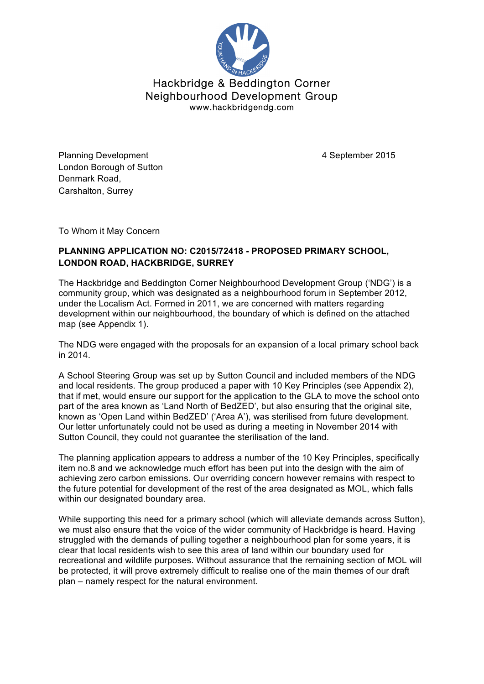

Hackbridge & Beddington Corner Neighbourhood Development Group www.hackbridgendg.com

Planning Development **12 Contract 2016** 2015 London Borough of Sutton Denmark Road, Carshalton, Surrey

To Whom it May Concern

## **PLANNING APPLICATION NO: C2015/72418 - PROPOSED PRIMARY SCHOOL, LONDON ROAD, HACKBRIDGE, SURREY**

The Hackbridge and Beddington Corner Neighbourhood Development Group ('NDG') is a community group, which was designated as a neighbourhood forum in September 2012, under the Localism Act. Formed in 2011, we are concerned with matters regarding development within our neighbourhood, the boundary of which is defined on the attached map (see Appendix 1).

The NDG were engaged with the proposals for an expansion of a local primary school back in 2014.

A School Steering Group was set up by Sutton Council and included members of the NDG and local residents. The group produced a paper with 10 Key Principles (see Appendix 2), that if met, would ensure our support for the application to the GLA to move the school onto part of the area known as 'Land North of BedZED', but also ensuring that the original site, known as 'Open Land within BedZED' ('Area A'), was sterilised from future development. Our letter unfortunately could not be used as during a meeting in November 2014 with Sutton Council, they could not guarantee the sterilisation of the land.

The planning application appears to address a number of the 10 Key Principles, specifically item no.8 and we acknowledge much effort has been put into the design with the aim of achieving zero carbon emissions. Our overriding concern however remains with respect to the future potential for development of the rest of the area designated as MOL, which falls within our designated boundary area.

While supporting this need for a primary school (which will alleviate demands across Sutton), we must also ensure that the voice of the wider community of Hackbridge is heard. Having struggled with the demands of pulling together a neighbourhood plan for some years, it is clear that local residents wish to see this area of land within our boundary used for recreational and wildlife purposes. Without assurance that the remaining section of MOL will be protected, it will prove extremely difficult to realise one of the main themes of our draft plan – namely respect for the natural environment.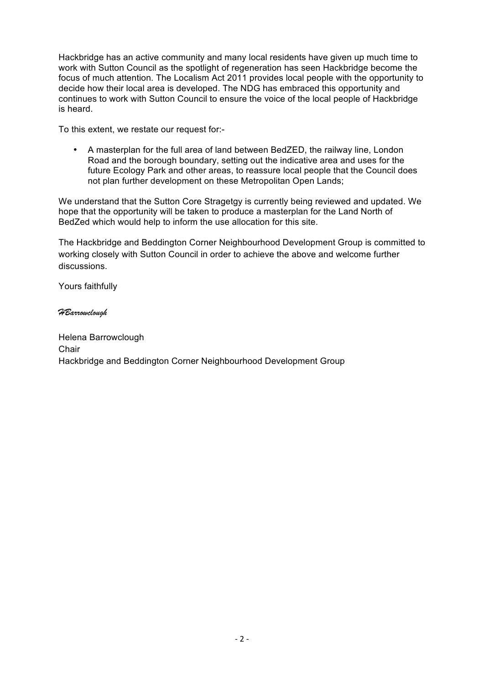Hackbridge has an active community and many local residents have given up much time to work with Sutton Council as the spotlight of regeneration has seen Hackbridge become the focus of much attention. The Localism Act 2011 provides local people with the opportunity to decide how their local area is developed. The NDG has embraced this opportunity and continues to work with Sutton Council to ensure the voice of the local people of Hackbridge is heard.

To this extent, we restate our request for:-

• A masterplan for the full area of land between BedZED, the railway line, London Road and the borough boundary, setting out the indicative area and uses for the future Ecology Park and other areas, to reassure local people that the Council does not plan further development on these Metropolitan Open Lands;

We understand that the Sutton Core Stragetgy is currently being reviewed and updated. We hope that the opportunity will be taken to produce a masterplan for the Land North of BedZed which would help to inform the use allocation for this site.

The Hackbridge and Beddington Corner Neighbourhood Development Group is committed to working closely with Sutton Council in order to achieve the above and welcome further discussions.

Yours faithfully

### *HBarrowclough*

Helena Barrowclough **Chair** Hackbridge and Beddington Corner Neighbourhood Development Group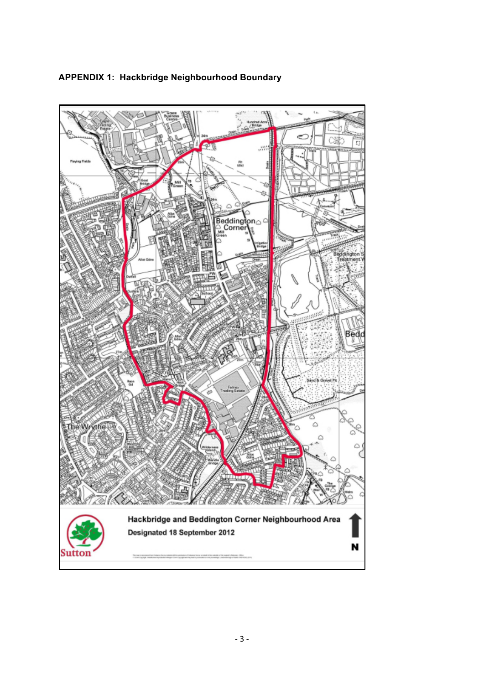

# **APPENDIX 1: Hackbridge Neighbourhood Boundary**